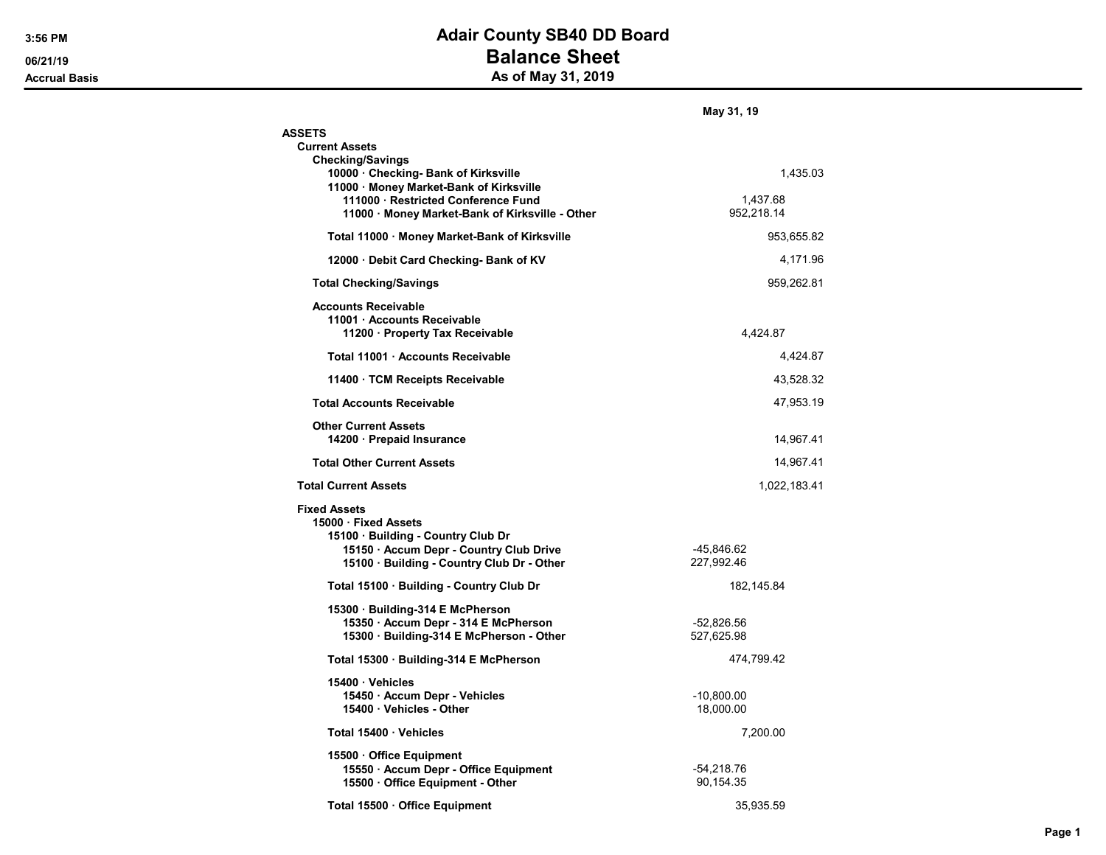## 3:56 PM **Adair County SB40 DD Board** 06/21/19 **Balance Sheet** Accrual Basis Accrual Basis As of May 31, 2019

|                                                                                                                                                                          | May 31, 19                 |
|--------------------------------------------------------------------------------------------------------------------------------------------------------------------------|----------------------------|
| <b>ASSETS</b>                                                                                                                                                            |                            |
| <b>Current Assets</b>                                                                                                                                                    |                            |
| <b>Checking/Savings</b><br>10000 · Checking- Bank of Kirksville<br>11000 · Money Market-Bank of Kirksville                                                               | 1,435.03                   |
| 111000 · Restricted Conference Fund<br>11000 · Money Market-Bank of Kirksville - Other                                                                                   | 1,437.68<br>952,218.14     |
| Total 11000 · Money Market-Bank of Kirksville                                                                                                                            | 953,655.82                 |
| 12000 Debit Card Checking- Bank of KV                                                                                                                                    | 4,171.96                   |
| <b>Total Checking/Savings</b>                                                                                                                                            | 959,262.81                 |
| <b>Accounts Receivable</b><br>11001 · Accounts Receivable<br>11200 · Property Tax Receivable                                                                             | 4.424.87                   |
| Total 11001 · Accounts Receivable                                                                                                                                        | 4,424.87                   |
| 11400 TCM Receipts Receivable                                                                                                                                            | 43,528.32                  |
| <b>Total Accounts Receivable</b>                                                                                                                                         | 47,953.19                  |
| <b>Other Current Assets</b><br>14200 · Prepaid Insurance                                                                                                                 | 14,967.41                  |
| <b>Total Other Current Assets</b>                                                                                                                                        | 14,967.41                  |
| <b>Total Current Assets</b>                                                                                                                                              | 1,022,183.41               |
| <b>Fixed Assets</b><br>15000 Fixed Assets<br>15100 · Building - Country Club Dr<br>15150 · Accum Depr - Country Club Drive<br>15100 · Building - Country Club Dr - Other | -45,846.62<br>227,992.46   |
| Total 15100 · Building - Country Club Dr                                                                                                                                 | 182, 145.84                |
| 15300 Building-314 E McPherson<br>15350 · Accum Depr - 314 E McPherson<br>15300 · Building-314 E McPherson - Other                                                       | $-52,826.56$<br>527,625.98 |
| Total 15300 · Building-314 E McPherson                                                                                                                                   | 474,799.42                 |
| 15400 Vehicles<br>15450 · Accum Depr - Vehicles<br>15400 · Vehicles - Other                                                                                              | -10,800.00<br>18,000.00    |
| Total 15400 Vehicles                                                                                                                                                     | 7,200.00                   |
| 15500 Office Equipment<br>15550 · Accum Depr - Office Equipment<br>15500 Office Equipment - Other                                                                        | -54,218.76<br>90,154.35    |
| Total 15500 · Office Equipment                                                                                                                                           | 35,935.59                  |